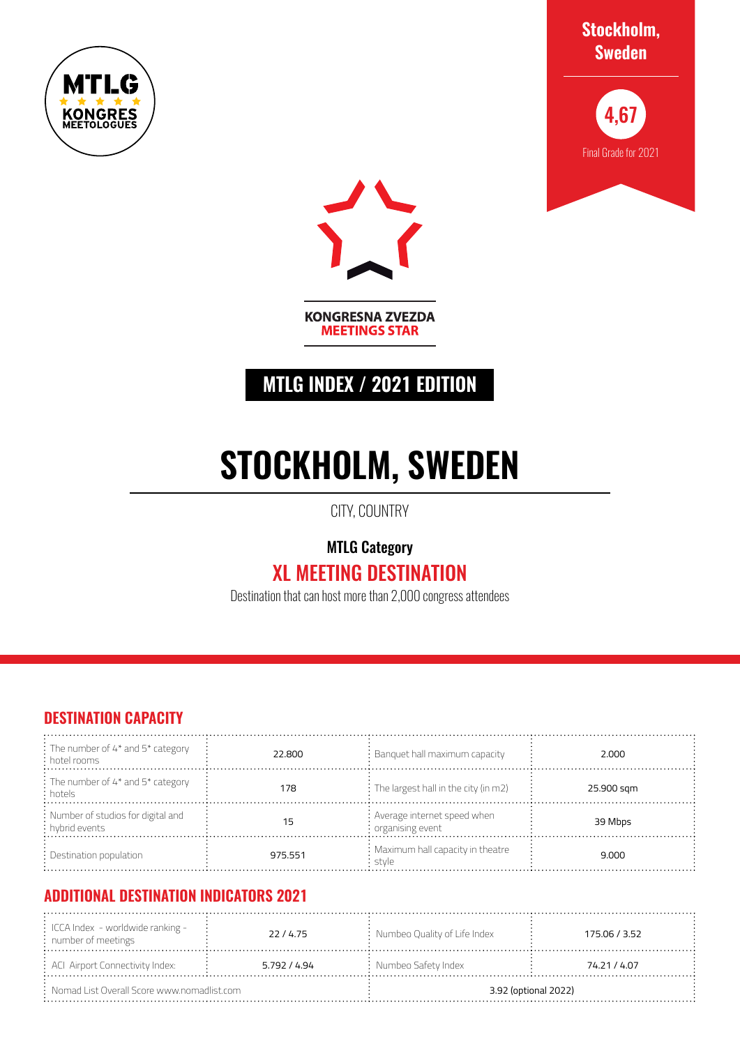







**KONGRESNA ZVEZDA MEETINGS STAR** 

## **MTLG INDEX / 2021 EDITION**

# **STOCKHOLM, SWEDEN**

CITY, COUNTRY

MTLG Category

# XL MEETING DESTINATION

Destination that can host more than 2,000 congress attendees

#### **DESTINATION CAPACITY**

| $\frac{1}{2}$ : The number of 4* and 5* category<br>$\frac{1}{2}$ hotel rooms | 22,800  | $\therefore$ Banquet hall maximum capacity                | 2.000      |
|-------------------------------------------------------------------------------|---------|-----------------------------------------------------------|------------|
| : The number of 4* and 5* category<br>: hotels                                | 178     | $\therefore$ The largest hall in the city (in m2)         | 25.900 sqm |
| : Number of studios for digital and<br>: hybrid events                        | 15      | : Average internet speed when<br>$\cdot$ organising event | 39 Mbps    |
| $:$ Destination population                                                    | 975.551 | : Maximum hall capacity in theatre<br>stvle               | 9.000      |

### **ADDITIONAL DESTINATION INDICATORS 2021**

| $\therefore$ ICCA Index - worldwide ranking -<br>: number of meetings | 22/4.75      | : Numbeo Quality of Life Index | 175.06 / 3.52 |
|-----------------------------------------------------------------------|--------------|--------------------------------|---------------|
| $\div$ ACI Airport Connectivity Index:                                | 5.792 / 4.94 | $:$ Numbeo Safety Index        | 74.21 / 4.07  |
| $\therefore$ Nomad List Overall Score www.nomadlist.com               |              | 3.92 (optional 2022)           |               |